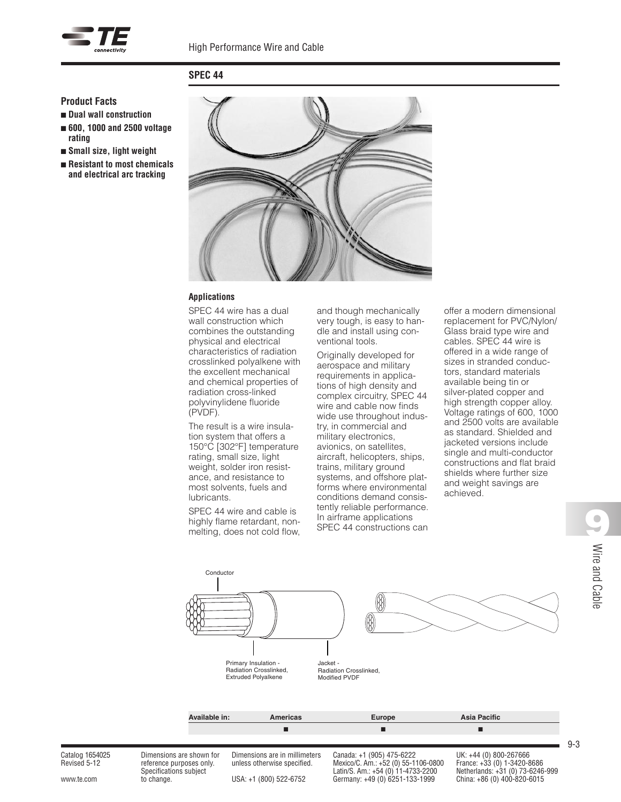

# **SPEC 44**

#### **Product Facts**

- **Dual wall construction** ■ **600, 1000 and 2500 voltage**
- **rating**
- **Small size, light weight**
- **Resistant to most chemicals and electrical arc tracking**



#### **Applications**

SPEC 44 wire has a dual wall construction which combines the outstanding physical and electrical characteristics of radiation crosslinked polyalkene with the excellent mechanical and chemical properties of radiation cross-linked polyvinylidene fluoride (PVDF).

The result is a wire insulation system that offers a 150°C [302°F] temperature rating, small size, light weight, solder iron resistance, and resistance to most solvents, fuels and lubricants.

SPEC 44 wire and cable is highly flame retardant, nonmelting, does not cold flow, and though mechanically very tough, is easy to handle and install using conventional tools.

Originally developed for aerospace and military requirements in applications of high density and complex circuitry, SPEC 44 wire and cable now finds wide use throughout industry, in commercial and military electronics, avionics, on satellites, aircraft, helicopters, ships, trains, military ground systems, and offshore platforms where environmental conditions demand consistently reliable performance. In airframe applications SPEC 44 constructions can offer a modern dimensional replacement for PVC/Nylon/ Glass braid type wire and cables. SPEC 44 wire is offered in a wide range of sizes in stranded conductors, standard materials available being tin or silver-plated copper and high strength copper alloy. Voltage ratings of 600, 1000 and 2500 volts are available as standard. Shielded and jacketed versions include single and multi-conductor constructions and flat braid shields where further size and weight savings are achieved.



Catalog 1654025 Dimensions are shown for Dimensions are in millimeters Canada: +1 (905) 475-6222 UK: +44 (0) 800-267666 Revised 5-12 reference purposes only. unless otherwise specified. Mexico/C. Am.: +52 (0) 55-1106-0800 France: +33 (0) 1-3420-8686 Specifications subject Latin/S. Am.: +54 (0) 11-4733-2200 Netherlands: +31 (0) 73-6246-999 Catin/S. Am.: +54 (0) 11-4733-2200 Netherlands: +31 (0) 73-6246-999<br>USA: +1 (800) 522-6752 Germany: +49 (0) 6251-133-1999 China: +86 (0) 400-820-6015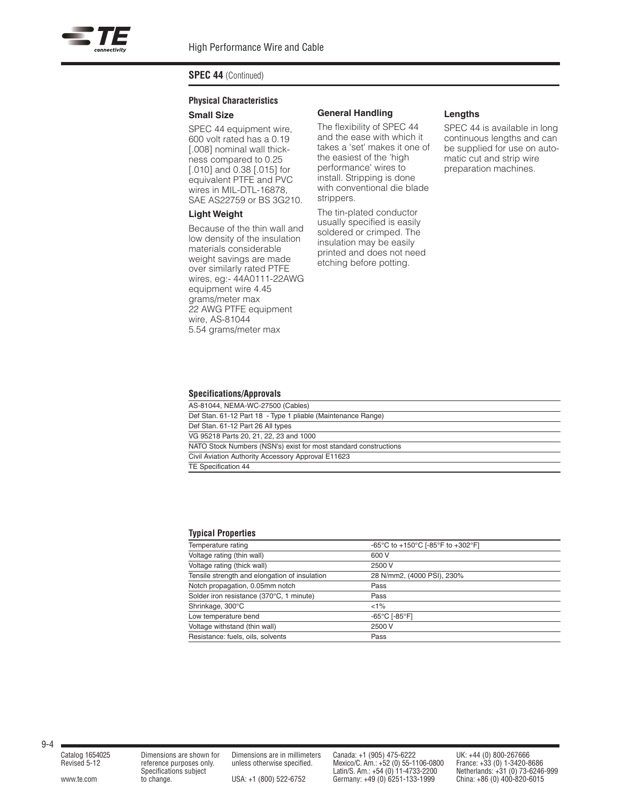## **Physical Characteristics Small Size**

SPEC 44 equipment wire, 600 volt rated has a 0.19 [.008] nominal wall thickness compared to 0.25 [.010] and 0.38 [.015] for equivalent PTFE and PVC wires in MIL-DTL-16878, SAE AS22759 or BS 3G210.

#### **Light Weight**

Because of the thin wall and low density of the insulation materials considerable weight savings are made over similarly rated PTFE wires, eg:- 44A0111-22AWG equipment wire 4.45 grams/meter max 22 AWG PTFE equipment wire, AS-81044 5.54 grams/meter max

#### **General Handling**

The flexibility of SPEC 44 and the ease with which it takes a 'set' makes it one of the easiest of the 'high performance' wires to install. Stripping is done with conventional die blade strippers.

The tin-plated conductor usually specified is easily soldered or crimped. The insulation may be easily printed and does not need etching before potting.

#### **Lengths**

SPEC 44 is available in long continuous lengths and can be supplied for use on automatic cut and strip wire preparation machines.

#### **Specifications/Approvals**

| AS-81044, NEMA-WC-27500 (Cables)                                 |
|------------------------------------------------------------------|
| Def Stan. 61-12 Part 18 - Type 1 pliable (Maintenance Range)     |
| Def Stan. 61-12 Part 26 All types                                |
| VG 95218 Parts 20, 21, 22, 23 and 1000                           |
| NATO Stock Numbers (NSN's) exist for most standard constructions |
| Civil Aviation Authority Accessory Approval E11623               |
| TE Specification 44                                              |

#### **Typical Properties**

| Temperature rating                            | -65°C to +150°C [-85°F to +302°F]  |
|-----------------------------------------------|------------------------------------|
| Voltage rating (thin wall)                    | 600 V                              |
| Voltage rating (thick wall)                   | 2500 V                             |
| Tensile strength and elongation of insulation | 28 N/mm2, (4000 PSI), 230%         |
| Notch propagation, 0.05mm notch               | Pass                               |
| Solder iron resistance (370°C, 1 minute)      | Pass                               |
| Shrinkage, 300°C                              | $<1\%$                             |
| Low temperature bend                          | $-65^{\circ}$ C [-85 $^{\circ}$ F] |
| Voltage withstand (thin wall)                 | 2500 V                             |
| Resistance: fuels, oils, solvents             | Pass                               |

Catalog 1654025 Dimensions are shown for Dimensions are in millimeters Canada: +1 (905) 475-6222 UK: +44 (0) 800-267666<br>
Revised 5-12 reference purposes only. unless otherwise specified. Mexico/C. Am.: +54 (0) 55-1106-0800 Revised 5-12 reference purposes only. unless otherwise specified. Mexico/C. Am.: +52 (0) 55-1106-0800 France: +33 (0) 1-3420-8686 Specifications subject Latin/S. Am.: +54 (0) 11-4733-2200 Netherlands: +31 (0) 73-6246-999 www.te.com to change. USA: +1 (800) 522-6752 Germany: +49 (0) 6251-133-1999 China: +86 (0) 400-820-6015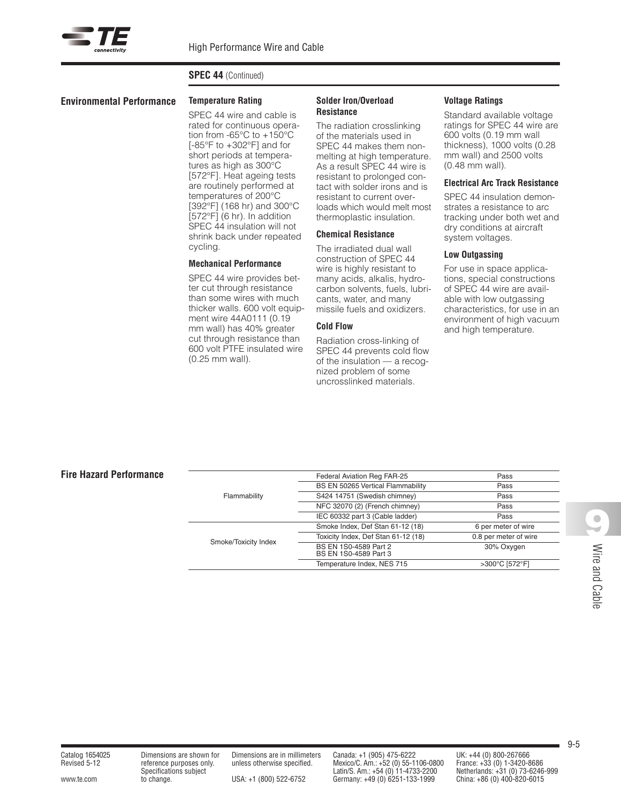#### **Environmental Performance Temperature Rating**

SPEC 44 wire and cable is rated for continuous operation from -65°C to +150°C [-85°F to +302°F] and for short periods at temperatures as high as 300°C [572°F]. Heat ageing tests are routinely performed at temperatures of 200°C [392°F] (168 hr) and 300°C  $[572^{\circ}$ F $]$  $(6 \text{ hr})$ . In addition SPEC 44 insulation will not shrink back under repeated cycling.

#### **Mechanical Performance**

SPEC 44 wire provides better cut through resistance than some wires with much thicker walls. 600 volt equipment wire 44A0111 (0.19 mm wall) has 40% greater cut through resistance than 600 volt PTFE insulated wire (0.25 mm wall).

#### **Solder Iron/Overload Resistance**

The radiation crosslinking of the materials used in SPEC 44 makes them nonmelting at high temperature. As a result SPEC 44 wire is resistant to prolonged contact with solder irons and is resistant to current overloads which would melt most thermoplastic insulation.

#### **Chemical Resistance**

The irradiated dual wall construction of SPEC 44 wire is highly resistant to many acids, alkalis, hydrocarbon solvents, fuels, lubricants, water, and many missile fuels and oxidizers.

#### **Cold Flow**

Radiation cross-linking of SPEC 44 prevents cold flow of the insulation — a recognized problem of some uncrosslinked materials.

#### **Voltage Ratings**

Standard available voltage ratings for SPEC 44 wire are 600 volts (0.19 mm wall thickness), 1000 volts (0.28 mm wall) and 2500 volts (0.48 mm wall).

#### **Electrical Arc Track Resistance**

SPEC 44 insulation demonstrates a resistance to arc tracking under both wet and dry conditions at aircraft system voltages.

#### **Low Outgassing**

For use in space applications, special constructions of SPEC 44 wire are available with low outgassing characteristics, for use in an environment of high vacuum and high temperature.

## **Fire Hazard Performance**

| Flammability         | Federal Aviation Reg FAR-25                    | Pass                  |
|----------------------|------------------------------------------------|-----------------------|
|                      | BS EN 50265 Vertical Flammability              | Pass                  |
|                      | S424 14751 (Swedish chimney)                   | Pass                  |
|                      | NFC 32070 (2) (French chimney)                 | Pass                  |
|                      | IEC 60332 part 3 (Cable ladder)                | Pass                  |
|                      | Smoke Index, Def Stan 61-12 (18)               | 6 per meter of wire   |
| Smoke/Toxicity Index | Toxicity Index, Def Stan 61-12 (18)            | 0.8 per meter of wire |
|                      | BS EN 1S0-4589 Part 2<br>BS EN 1S0-4589 Part 3 | 30% Oxygen            |
|                      | Temperature Index, NES 715                     | >300°C [572°F]        |

Catalog 1654025 Dimensions are shown for Dimensions are in millimeters Canada: +1 (905) 475-6222 UK: +44 (0) 800-267666<br>
Revised 5-12 reference purposes only. unless otherwise specified. Mexico/C. Am.: +54 (0) 55-1106-0800 Revised 5-12 reference purposes only. unless otherwise specified. Mexico/C. Am.: +52 (0) 55-1106-0800 France: +33 (0) 1-3420-8686 Specifications subject Latin/S. Am.: +54 (0) 11-4733-2200 Netherlands: +31 (0) 73-6246-999 www.te.com to change. USA: +1 (800) 522-6752 Germany: +49 (0) 6251-133-1999 China: +86 (0) 400-820-6015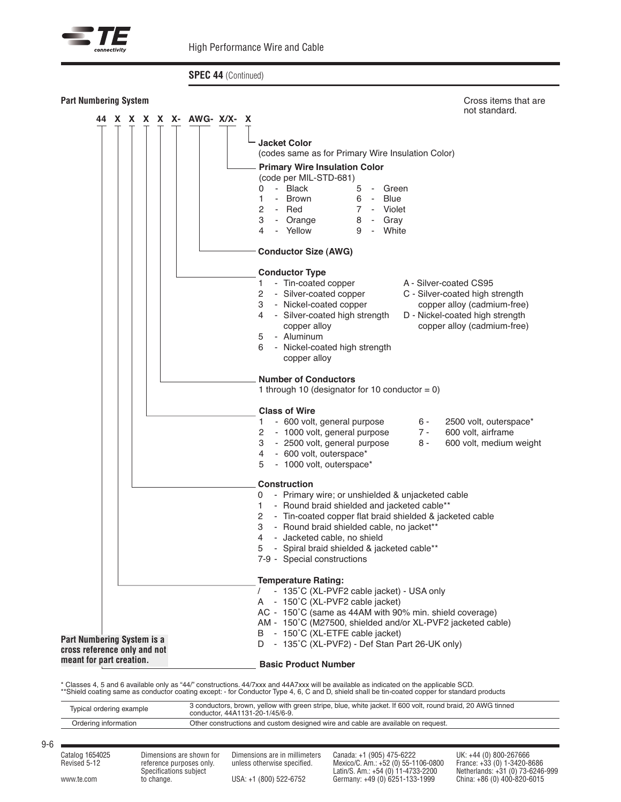



\* Classes 4, 5 and 6 available only as "44/" constructions. 44/7xxx and 44A7xxx will be available as indicated on the applicable SCD.<br>\*\*Shield coating same as conductor coating except: - for Conductor Type 4, 6, C and D, s

| Typical ordering example | 3 conductors, brown, yellow with green stripe, blue, white jacket. If 600 volt, round braid, 20 AWG tinned<br>conductor. 44A1131-20-1/45/6-9. |
|--------------------------|-----------------------------------------------------------------------------------------------------------------------------------------------|
| Ordering information     | Other constructions and custom designed wire and cable are available on request.                                                              |
|                          |                                                                                                                                               |

9-6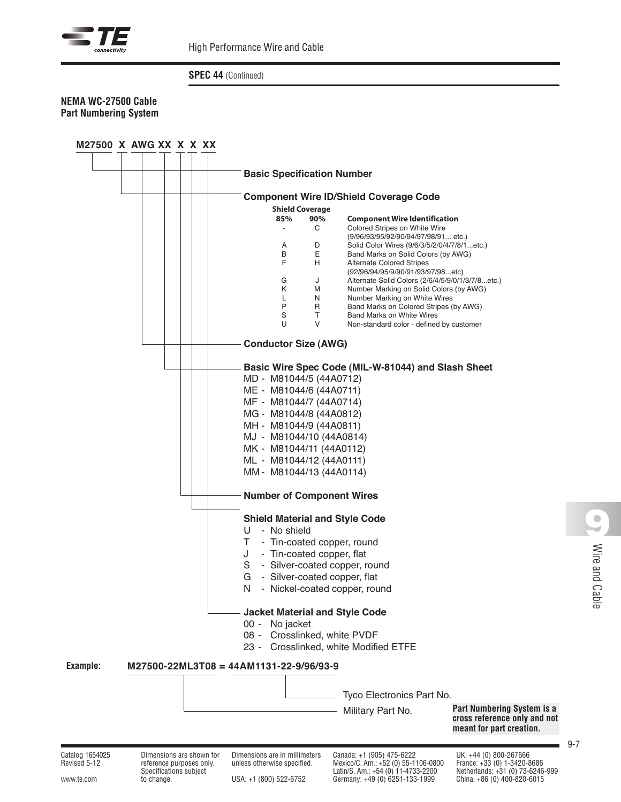

## **NEMA WC-27500 Cable Part Numbering System**



Specifications subject Latin/S. Am.: +54 (0) 11-4733-2200 Netherlands: +31 (0) 73-6246-999 0) 11-4733-2200 Netherlands: +31 (0) 52-6752 Latin/S. Am.: +54 (0) 11-4733-2200 Netherlands: +31 (0) 73-6246<br>101-820-6015 China: +86 (0) 400-820-6015 Germany: +49 (0) 6251-133-1999 China: +86 (0) 400-820-6015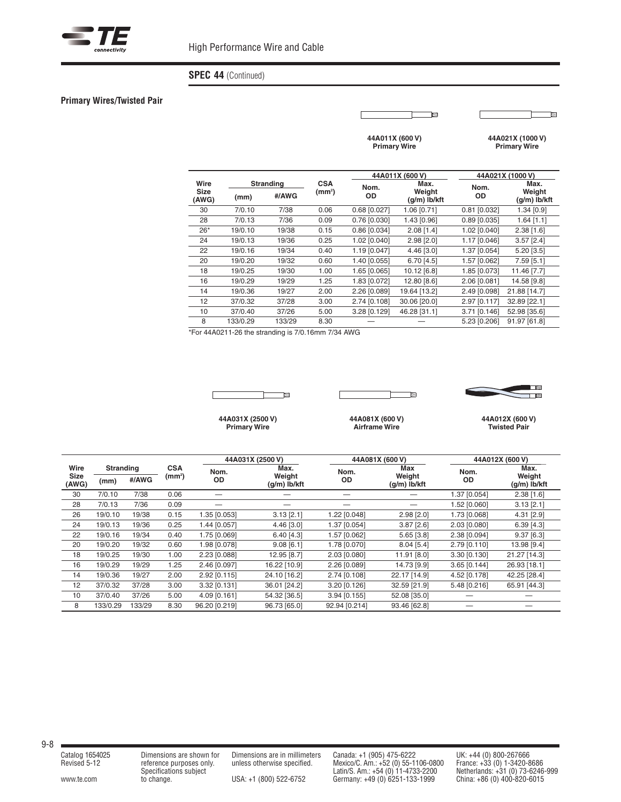

#### **Primary Wires/Twisted Pair**

é

e

**44A011X (600 V) Primary Wire**

**44A021X (1000 V) Primary Wire**

|                      |          |                  |       | 44A011X (600 V) |                        | 44A021X (1000 V) |                        |  |
|----------------------|----------|------------------|-------|-----------------|------------------------|------------------|------------------------|--|
| Wire                 |          | <b>Stranding</b> |       | Nom.            | Max.                   | Nom.             | Max.                   |  |
| <b>Size</b><br>(AWG) | (mm)     | #/AWG            | (mm²) | <b>OD</b>       | Weight<br>(q/m) lb/kft | <b>OD</b>        | Weight<br>(g/m) lb/kft |  |
| 30                   | 7/0.10   | 7/38             | 0.06  | 0.68 [0.027]    | 1.06 [0.71]            | $0.81$ [0.032]   | 1.34 [0.9]             |  |
| 28                   | 7/0.13   | 7/36             | 0.09  | 0.76 [0.030]    | 1.43 [0.96]            | $0.89$ [0.035]   | $1.64$ [1.1]           |  |
| $26*$                | 19/0.10  | 19/38            | 0.15  | 0.86 [0.034]    | $2.08$ [1.4]           | 1.02 [0.040]     | $2.38$ [1.6]           |  |
| 24                   | 19/0.13  | 19/36            | 0.25  | 1.02 [0.040]    | $2.98$ [ $2.0$ ]       | 1.17 [0.046]     | $3.57$ [ $2.4$ ]       |  |
| 22                   | 19/0.16  | 19/34            | 0.40  | 1.19 [0.047]    | 4.46 [3.0]             | 1.37 [0.054]     | 5.20 [3.5]             |  |
| 20                   | 19/0.20  | 19/32            | 0.60  | 1.40 [0.055]    | 6.70 [4.5]             | 1.57 [0.062]     | 7.59 [5.1]             |  |
| 18                   | 19/0.25  | 19/30            | 1.00  | 1.65 [0.065]    | 10.12 [6.8]            | 1.85 [0.073]     | 11.46 [7.7]            |  |
| 16                   | 19/0.29  | 19/29            | 1.25  | 1.83 [0.072]    | 12.80 [8.6]            | 2.06 [0.081]     | 14.58 [9.8]            |  |
| 14                   | 19/0.36  | 19/27            | 2.00  | 2.26 [0.089]    | 19.64 [13.2]           | 2.49 [0.098]     | 21.88 [14.7]           |  |
| 12                   | 37/0.32  | 37/28            | 3.00  | 2.74 [0.108]    | 30.06 [20.0]           | 2.97 [0.117]     | 32.89 [22.1]           |  |
| 10                   | 37/0.40  | 37/26            | 5.00  | 3.28 [0.129]    | 46.28 [31.1]           | 3.71 [0.146]     | 52.98 [35.6]           |  |
| 8                    | 133/0.29 | 133/29           | 8.30  |                 |                        | 5.23 [0.206]     | 91.97 [61.8]           |  |

\*For 44A0211-26 the stranding is 7/0.16mm 7/34 AWG



Ta ┬



**44A031X (2500 V) Primary Wire**

**44A081X (600 V) Airframe Wire**

**44A012X (600 V) Twisted Pair**

|                      |          |                  |                    |               | 44A031X (2500 V)         |               | 44A081X (600 V)        |              | 44A012X (600 V)        |
|----------------------|----------|------------------|--------------------|---------------|--------------------------|---------------|------------------------|--------------|------------------------|
| Wire                 |          | <b>Stranding</b> |                    | Nom.          | Max.                     | Nom.          | Max                    | Nom.         | Max.                   |
| <b>Size</b><br>(AWG) | (mm)     | #/AWG            | (mm <sup>2</sup> ) | OD            | Weight<br>$(q/m)$ lb/kft | <b>OD</b>     | Weight<br>(q/m) lb/kft | OD           | Weight<br>(g/m) lb/kft |
| 30                   | 7/0.10   | 7/38             | 0.06               |               |                          |               |                        | 1.37 [0.054] | $2.38$ [1.6]           |
| 28                   | 7/0.13   | 7/36             | 0.09               |               |                          |               |                        | 1.52 [0.060] | 3.13 [2.1]             |
| 26                   | 19/0.10  | 19/38            | 0.15               | 1.35 [0.053]  | $3.13$ [2.1]             | 1.22 [0.048]  | $2.98$ [ $2.0$ ]       | 1.73 [0.068] | 4.31 [2.9]             |
| 24                   | 19/0.13  | 19/36            | 0.25               | 1.44 [0.057]  | $4.46$ [3.0]             | 1.37 [0.054]  | $3.87$ [ $2.6$ ]       | 2.03 [0.080] | $6.39$ [4.3]           |
| 22                   | 19/0.16  | 19/34            | 0.40               | 1.75 [0.069]  | 6.40 [4.3]               | 1.57 [0.062]  | $5.65$ [ $3.8$ ]       | 2.38 [0.094] | 9.37[6.3]              |
| 20                   | 19/0.20  | 19/32            | 0.60               | 1.98 [0.078]  | 9.08[6.1]                | 1.78 [0.070]  | 8.04[5.4]              | 2.79 [0.110] | 13.98 [9.4]            |
| 18                   | 19/0.25  | 19/30            | 1.00               | 2.23 [0.088]  | 12.95 [8.7]              | 2.03 [0.080]  | 11.91 [8.0]            | 3.30 [0.130] | 21.27 [14.3]           |
| 16                   | 19/0.29  | 19/29            | 1.25               | 2.46 [0.097]  | 16.22 [10.9]             | 2.26 [0.089]  | 14.73 [9.9]            | 3.65 [0.144] | 26.93 [18.1]           |
| 14                   | 19/0.36  | 19/27            | 2.00               | 2.92 [0.115]  | 24.10 [16.2]             | 2.74 [0.108]  | 22.17 [14.9]           | 4.52 [0.178] | 42.25 [28.4]           |
| 12                   | 37/0.32  | 37/28            | 3.00               | 3.32 [0.131]  | 36.01 [24.2]             | 3.20 [0.126]  | 32.59 [21.9]           | 5.48 [0.216] | 65.91 [44.3]           |
| 10                   | 37/0.40  | 37/26            | 5.00               | 4.09 [0.161]  | 54.32 [36.5]             | 3.94 [0.155]  | 52.08 [35.0]           |              |                        |
| 8                    | 133/0.29 | 133/29           | 8.30               | 96.20 [0.219] | 96.73 [65.0]             | 92.94 [0.214] | 93.46 [62.8]           |              |                        |